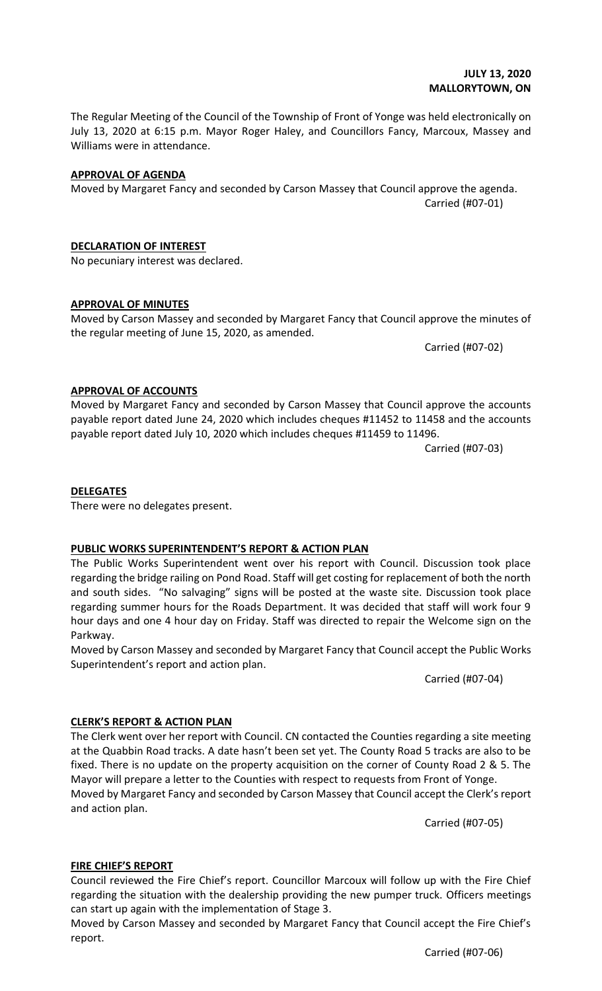### **JULY 13, 2020 MALLORYTOWN, ON**

The Regular Meeting of the Council of the Township of Front of Yonge was held electronically on July 13, 2020 at 6:15 p.m. Mayor Roger Haley, and Councillors Fancy, Marcoux, Massey and Williams were in attendance.

### **APPROVAL OF AGENDA**

### Moved by Margaret Fancy and seconded by Carson Massey that Council approve the agenda. Carried (#07-01)

### **DECLARATION OF INTEREST**

No pecuniary interest was declared.

### **APPROVAL OF MINUTES**

Moved by Carson Massey and seconded by Margaret Fancy that Council approve the minutes of the regular meeting of June 15, 2020, as amended.

Carried (#07-02)

### **APPROVAL OF ACCOUNTS**

Moved by Margaret Fancy and seconded by Carson Massey that Council approve the accounts payable report dated June 24, 2020 which includes cheques #11452 to 11458 and the accounts payable report dated July 10, 2020 which includes cheques #11459 to 11496.

Carried (#07-03)

### **DELEGATES**

There were no delegates present.

### **PUBLIC WORKS SUPERINTENDENT'S REPORT & ACTION PLAN**

The Public Works Superintendent went over his report with Council. Discussion took place regarding the bridge railing on Pond Road. Staff will get costing for replacement of both the north and south sides. "No salvaging" signs will be posted at the waste site. Discussion took place regarding summer hours for the Roads Department. It was decided that staff will work four 9 hour days and one 4 hour day on Friday. Staff was directed to repair the Welcome sign on the Parkway.

Moved by Carson Massey and seconded by Margaret Fancy that Council accept the Public Works Superintendent's report and action plan.

Carried (#07-04)

### **CLERK'S REPORT & ACTION PLAN**

The Clerk went over her report with Council. CN contacted the Counties regarding a site meeting at the Quabbin Road tracks. A date hasn't been set yet. The County Road 5 tracks are also to be fixed. There is no update on the property acquisition on the corner of County Road 2 & 5. The Mayor will prepare a letter to the Counties with respect to requests from Front of Yonge. Moved by Margaret Fancy and seconded by Carson Massey that Council accept the Clerk's report and action plan.

Carried (#07-05)

### **FIRE CHIEF'S REPORT**

Council reviewed the Fire Chief's report. Councillor Marcoux will follow up with the Fire Chief regarding the situation with the dealership providing the new pumper truck. Officers meetings can start up again with the implementation of Stage 3.

Moved by Carson Massey and seconded by Margaret Fancy that Council accept the Fire Chief's report.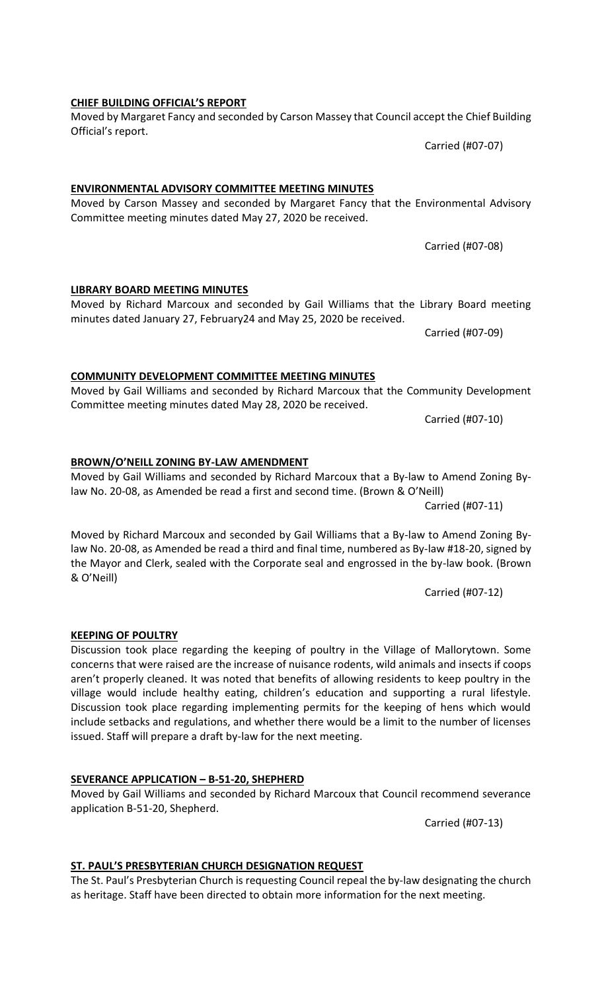# Carried (#07-07)

Committee meeting minutes dated May 27, 2020 be received.

Moved by Richard Marcoux and seconded by Gail Williams that the Library Board meeting

Carried (#07-09)

Carried (#07-08)

Moved by Gail Williams and seconded by Richard Marcoux that the Community Development Committee meeting minutes dated May 28, 2020 be received.

Carried (#07-10)

Moved by Gail Williams and seconded by Richard Marcoux that a By-law to Amend Zoning Bylaw No. 20-08, as Amended be read a first and second time. (Brown & O'Neill)

Carried (#07-11)

Moved by Richard Marcoux and seconded by Gail Williams that a By-law to Amend Zoning Bylaw No. 20-08, as Amended be read a third and final time, numbered as By-law #18-20, signed by the Mayor and Clerk, sealed with the Corporate seal and engrossed in the by-law book. (Brown & O'Neill)

Carried (#07-12)

**KEEPING OF POULTRY** Discussion took place regarding the keeping of poultry in the Village of Mallorytown. Some concerns that were raised are the increase of nuisance rodents, wild animals and insects if coops aren't properly cleaned. It was noted that benefits of allowing residents to keep poultry in the village would include healthy eating, children's education and supporting a rural lifestyle. Discussion took place regarding implementing permits for the keeping of hens which would include setbacks and regulations, and whether there would be a limit to the number of licenses issued. Staff will prepare a draft by-law for the next meeting.

### **SEVERANCE APPLICATION – B-51-20, SHEPHERD**

application B-51-20, Shepherd.

**ST. PAUL'S PRESBYTERIAN CHURCH DESIGNATION REQUEST** The St. Paul's Presbyterian Church is requesting Council repeal the by-law designating the church as heritage. Staff have been directed to obtain more information for the next meeting.

Moved by Gail Williams and seconded by Richard Marcoux that Council recommend severance

### **LIBRARY BOARD MEETING MINUTES**

## **COMMUNITY DEVELOPMENT COMMITTEE MEETING MINUTES**

minutes dated January 27, February24 and May 25, 2020 be received.

### **BROWN/O'NEILL ZONING BY-LAW AMENDMENT**

Carried (#07-13)

### **CHIEF BUILDING OFFICIAL'S REPORT** Moved by Margaret Fancy and seconded by Carson Massey that Council accept the Chief Building

Official's report.

### **ENVIRONMENTAL ADVISORY COMMITTEE MEETING MINUTES** Moved by Carson Massey and seconded by Margaret Fancy that the Environmental Advisory